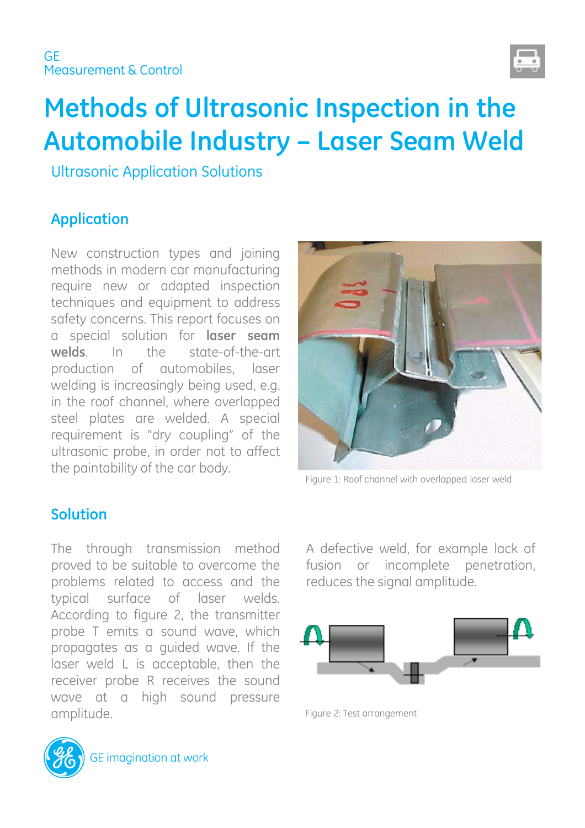

# **Methods of Ultrasonic Inspection in the Automobile Industry – Laser Seam Weld**

Ultrasonic Application Solutions

# **Application**

New construction types and joining methods in modern car manufacturing require new or adapted inspection techniques and equipment to address safety concerns. This report focuses on a special solution for **laser seam welds**. In the state-of-the-art production of automobiles, laser welding is increasingly being used, e.g. in the roof channel, where overlapped steel plates are welded. A special requirement is "dry coupling" of the ultrasonic probe, in order not to affect the paintability of the car body.

Figure 1: Roof channel with overlapped laser weld

### **Solution**

The through transmission method proved to be suitable to overcome the problems related to access and the typical surface of laser welds. According to figure 2, the transmitter probe T emits a sound wave, which propagates as a guided wave. If the laser weld L is acceptable, then the receiver probe R receives the sound wave at a high sound pressure amplitude.

fusion or incomplete penetration, reduces the signal amplitude.

A defective weld, for example lack of



Figure 2: Test arrangement